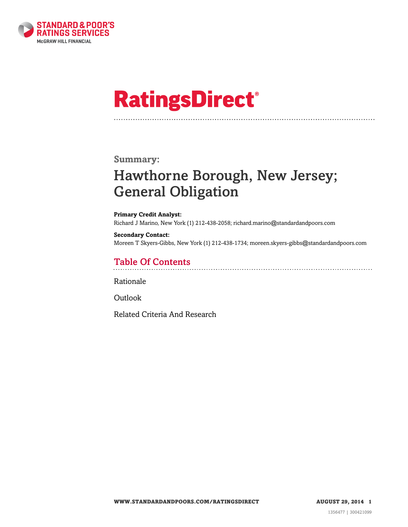

# **RatingsDirect®**

### **Summary:**

# Hawthorne Borough, New Jersey; General Obligation

#### **Primary Credit Analyst:**

Richard J Marino, New York (1) 212-438-2058; richard.marino@standardandpoors.com

#### **Secondary Contact:**

Moreen T Skyers-Gibbs, New York (1) 212-438-1734; moreen.skyers-gibbs@standardandpoors.com

### Table Of Contents

[Rationale](#page-1-0)

[Outlook](#page-2-0)

[Related Criteria And Research](#page-2-1)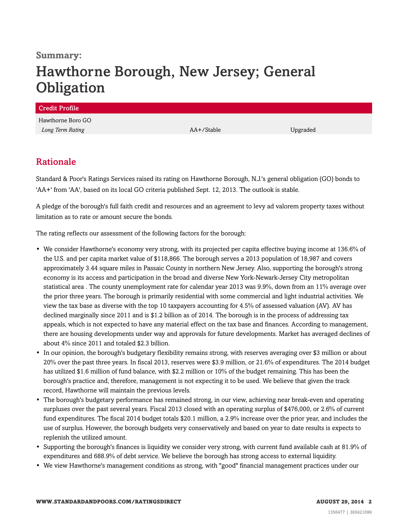### **Summary:**

# Hawthorne Borough, New Jersey; General **Obligation**

| <b>Credit Profile</b> |            |          |
|-----------------------|------------|----------|
| Hawthorne Boro GO     |            |          |
| Long Term Rating      | AA+/Stable | Upgraded |
|                       |            |          |

### <span id="page-1-0"></span>Rationale

Standard & Poor's Ratings Services raised its rating on Hawthorne Borough, N.J.'s general obligation (GO) bonds to 'AA+' from 'AA', based on its local GO criteria published Sept. 12, 2013. The outlook is stable.

A pledge of the borough's full faith credit and resources and an agreement to levy ad valorem property taxes without limitation as to rate or amount secure the bonds.

The rating reflects our assessment of the following factors for the borough:

- We consider Hawthorne's economy very strong, with its projected per capita effective buying income at 136.6% of the U.S. and per capita market value of \$118,866. The borough serves a 2013 population of 18,987 and covers approximately 3.44 square miles in Passaic County in northern New Jersey. Also, supporting the borough's strong economy is its access and participation in the broad and diverse New York-Newark-Jersey City metropolitan statistical area . The county unemployment rate for calendar year 2013 was 9.9%, down from an 11% average over the prior three years. The borough is primarily residential with some commercial and light industrial activities. We view the tax base as diverse with the top 10 taxpayers accounting for 4.5% of assessed valuation (AV). AV has declined marginally since 2011 and is \$1.2 billion as of 2014. The borough is in the process of addressing tax appeals, which is not expected to have any material effect on the tax base and finances. According to management, there are housing developments under way and approvals for future developments. Market has averaged declines of about 4% since 2011 and totaled \$2.3 billion.
- In our opinion, the borough's budgetary flexibility remains strong, with reserves averaging over \$3 million or about 20% over the past three years. In fiscal 2013, reserves were \$3.9 million, or 21.6% of expenditures. The 2014 budget has utilized \$1.6 million of fund balance, with \$2.2 million or 10% of the budget remaining. This has been the borough's practice and, therefore, management is not expecting it to be used. We believe that given the track record, Hawthorne will maintain the previous levels.
- The borough's budgetary performance has remained strong, in our view, achieving near break-even and operating surpluses over the past several years. Fiscal 2013 closed with an operating surplus of \$476,000, or 2.6% of current fund expenditures. The fiscal 2014 budget totals \$20.1 million, a 2.9% increase over the prior year, and includes the use of surplus. However, the borough budgets very conservatively and based on year to date results is expects to replenish the utilized amount.
- Supporting the borough's finances is liquidity we consider very strong, with current fund available cash at 81.9% of expenditures and 688.9% of debt service. We believe the borough has strong access to external liquidity.
- We view Hawthorne's management conditions as strong, with "good" financial management practices under our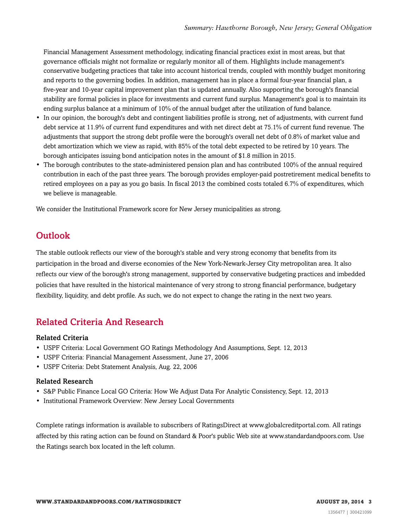Financial Management Assessment methodology, indicating financial practices exist in most areas, but that governance officials might not formalize or regularly monitor all of them. Highlights include management's conservative budgeting practices that take into account historical trends, coupled with monthly budget monitoring and reports to the governing bodies. In addition, management has in place a formal four-year financial plan, a five-year and 10-year capital improvement plan that is updated annually. Also supporting the borough's financial stability are formal policies in place for investments and current fund surplus. Management's goal is to maintain its ending surplus balance at a minimum of 10% of the annual budget after the utilization of fund balance.

- In our opinion, the borough's debt and contingent liabilities profile is strong, net of adjustments, with current fund debt service at 11.9% of current fund expenditures and with net direct debt at 75.1% of current fund revenue. The adjustments that support the strong debt profile were the borough's overall net debt of 0.8% of market value and debt amortization which we view as rapid, with 85% of the total debt expected to be retired by 10 years. The borough anticipates issuing bond anticipation notes in the amount of \$1.8 million in 2015.
- The borough contributes to the state-administered pension plan and has contributed 100% of the annual required contribution in each of the past three years. The borough provides employer-paid postretirement medical benefits to retired employees on a pay as you go basis. In fiscal 2013 the combined costs totaled 6.7% of expenditures, which we believe is manageable.

<span id="page-2-0"></span>We consider the Institutional Framework score for New Jersey municipalities as strong.

# **Outlook**

The stable outlook reflects our view of the borough's stable and very strong economy that benefits from its participation in the broad and diverse economies of the New York-Newark-Jersey City metropolitan area. It also reflects our view of the borough's strong management, supported by conservative budgeting practices and imbedded policies that have resulted in the historical maintenance of very strong to strong financial performance, budgetary flexibility, liquidity, and debt profile. As such, we do not expect to change the rating in the next two years.

## <span id="page-2-1"></span>Related Criteria And Research

### Related Criteria

- USPF Criteria: Local Government GO Ratings Methodology And Assumptions, Sept. 12, 2013
- USPF Criteria: Financial Management Assessment, June 27, 2006
- USPF Criteria: Debt Statement Analysis, Aug. 22, 2006

### Related Research

- S&P Public Finance Local GO Criteria: How We Adjust Data For Analytic Consistency, Sept. 12, 2013
- Institutional Framework Overview: New Jersey Local Governments

Complete ratings information is available to subscribers of RatingsDirect at www.globalcreditportal.com. All ratings affected by this rating action can be found on Standard & Poor's public Web site at www.standardandpoors.com. Use the Ratings search box located in the left column.